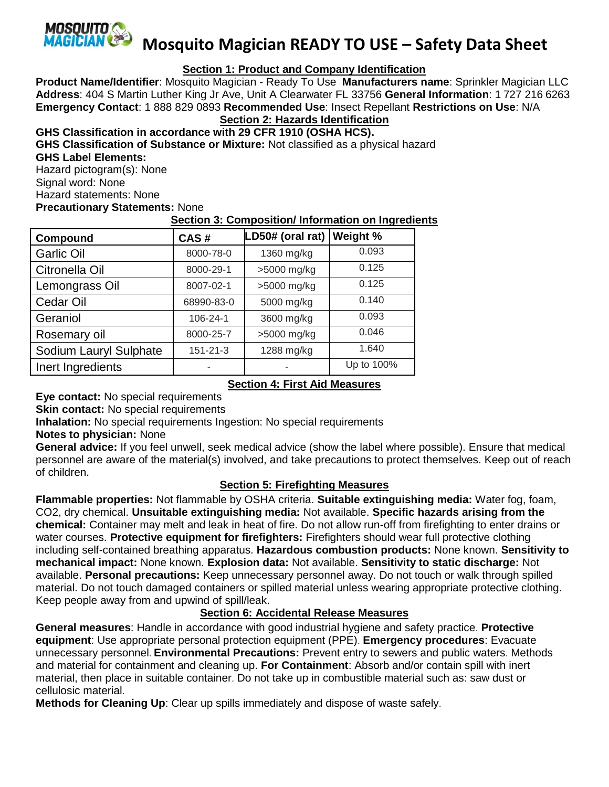

**Mosquito Magician READY TO USE – Safety Data Sheet**

# **Section 1: Product and Company Identification**

**Product Name/Identifier**: Mosquito Magician - Ready To Use **Manufacturers name**: Sprinkler Magician LLC **Address**: 404 S Martin Luther King Jr Ave, Unit A Clearwater FL 33756 **General Information**: 1 727 216 6263 **Emergency Contact**: 1 888 829 0893 **Recommended Use**: Insect Repellant **Restrictions on Use**: N/A

**Section 2: Hazards Identification**

**GHS Classification in accordance with 29 CFR 1910 (OSHA HCS).**

**GHS Classification of Substance or Mixture:** Not classified as a physical hazard **GHS Label Elements:** 

Hazard pictogram(s): None Signal word: None Hazard statements: None **Precautionary Statements:** None

### **Section 3: Composition/ Information on Ingredients**

| Compound               | CAS#           | LD50# (oral rat)   Weight % |            |
|------------------------|----------------|-----------------------------|------------|
| <b>Garlic Oil</b>      | 8000-78-0      | 1360 mg/kg                  | 0.093      |
| Citronella Oil         | 8000-29-1      | >5000 mg/kg                 | 0.125      |
| Lemongrass Oil         | 8007-02-1      | >5000 mg/kg                 | 0.125      |
| Cedar Oil              | 68990-83-0     | 5000 mg/kg                  | 0.140      |
| Geraniol               | 106-24-1       | 3600 mg/kg                  | 0.093      |
| Rosemary oil           | 8000-25-7      | >5000 mg/kg                 | 0.046      |
| Sodium Lauryl Sulphate | $151 - 21 - 3$ | 1288 mg/kg                  | 1.640      |
| Inert Ingredients      | -              | $\overline{\phantom{a}}$    | Up to 100% |

### **Section 4: First Aid Measures**

**Eye contact:** No special requirements

**Skin contact:** No special requirements

**Inhalation:** No special requirements Ingestion: No special requirements

### **Notes to physician:** None

**General advice:** If you feel unwell, seek medical advice (show the label where possible). Ensure that medical personnel are aware of the material(s) involved, and take precautions to protect themselves. Keep out of reach of children.

### **Section 5: Firefighting Measures**

**Flammable properties:** Not flammable by OSHA criteria. **Suitable extinguishing media:** Water fog, foam, CO2, dry chemical. **Unsuitable extinguishing media:** Not available. **Specific hazards arising from the chemical:** Container may melt and leak in heat of fire. Do not allow run-off from firefighting to enter drains or water courses. **Protective equipment for firefighters:** Firefighters should wear full protective clothing including self-contained breathing apparatus. **Hazardous combustion products:** None known. **Sensitivity to mechanical impact:** None known. **Explosion data:** Not available. **Sensitivity to static discharge:** Not available. **Personal precautions:** Keep unnecessary personnel away. Do not touch or walk through spilled material. Do not touch damaged containers or spilled material unless wearing appropriate protective clothing. Keep people away from and upwind of spill/leak.

# **Section 6: Accidental Release Measures**

**General measures**: Handle in accordance with good industrial hygiene and safety practice. **Protective equipment**: Use appropriate personal protection equipment (PPE). **Emergency procedures**: Evacuate unnecessary personnel. **Environmental Precautions:** Prevent entry to sewers and public waters. Methods and material for containment and cleaning up. **For Containment**: Absorb and/or contain spill with inert material, then place in suitable container. Do not take up in combustible material such as: saw dust or cellulosic material.

**Methods for Cleaning Up**: Clear up spills immediately and dispose of waste safely.